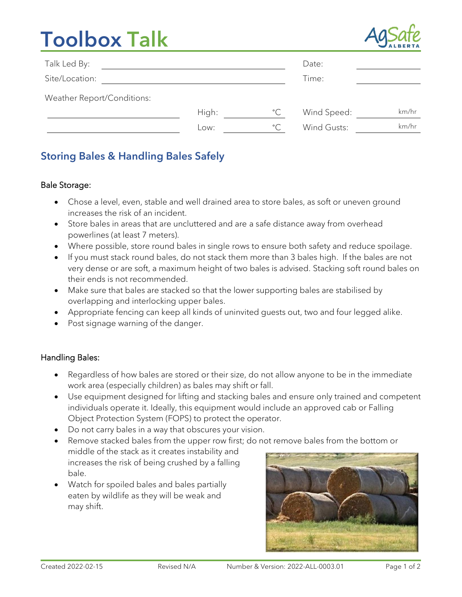# Toolbox Talk



| Talk Led By:               |       |              | Date:       |       |
|----------------------------|-------|--------------|-------------|-------|
| Site/Location:             |       |              | Time:       |       |
| Weather Report/Conditions: |       |              |             |       |
|                            | High: | $^{\circ}$ C | Wind Speed: | km/hr |
|                            | Low:  | $^{\circ}$ C | Wind Gusts: | km/hr |

### Storing Bales & Handling Bales Safely

#### Bale Storage:

- Chose a level, even, stable and well drained area to store bales, as soft or uneven ground increases the risk of an incident.
- Store bales in areas that are uncluttered and are a safe distance away from overhead powerlines (at least 7 meters).
- Where possible, store round bales in single rows to ensure both safety and reduce spoilage.
- If you must stack round bales, do not stack them more than 3 bales high. If the bales are not very dense or are soft, a maximum height of two bales is advised. Stacking soft round bales on their ends is not recommended.
- Make sure that bales are stacked so that the lower supporting bales are stabilised by overlapping and interlocking upper bales.
- Appropriate fencing can keep all kinds of uninvited guests out, two and four legged alike.
- Post signage warning of the danger.

#### Handling Bales:

- Regardless of how bales are stored or their size, do not allow anyone to be in the immediate work area (especially children) as bales may shift or fall.
- Use equipment designed for lifting and stacking bales and ensure only trained and competent individuals operate it. Ideally, this equipment would include an approved cab or Falling Object Protection System (FOPS) to protect the operator.
- Do not carry bales in a way that obscures your vision.
- Remove stacked bales from the upper row first; do not remove bales from the bottom or middle of the stack as it creates instability and increases the risk of being crushed by a falling bale.
- Watch for spoiled bales and bales partially eaten by wildlife as they will be weak and may shift.